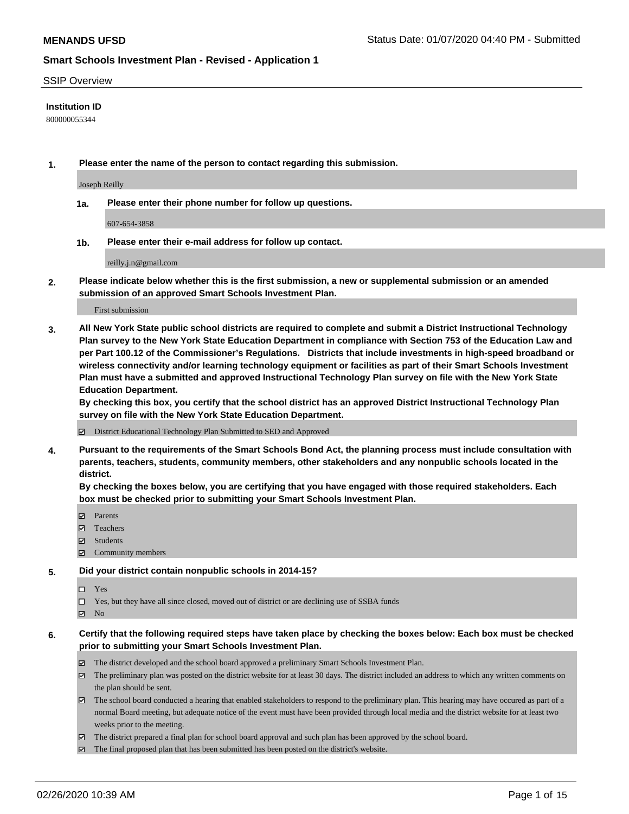#### SSIP Overview

### **Institution ID**

800000055344

**1. Please enter the name of the person to contact regarding this submission.**

Joseph Reilly

**1a. Please enter their phone number for follow up questions.**

607-654-3858

**1b. Please enter their e-mail address for follow up contact.**

reilly.j.n@gmail.com

**2. Please indicate below whether this is the first submission, a new or supplemental submission or an amended submission of an approved Smart Schools Investment Plan.**

#### First submission

**3. All New York State public school districts are required to complete and submit a District Instructional Technology Plan survey to the New York State Education Department in compliance with Section 753 of the Education Law and per Part 100.12 of the Commissioner's Regulations. Districts that include investments in high-speed broadband or wireless connectivity and/or learning technology equipment or facilities as part of their Smart Schools Investment Plan must have a submitted and approved Instructional Technology Plan survey on file with the New York State Education Department.** 

**By checking this box, you certify that the school district has an approved District Instructional Technology Plan survey on file with the New York State Education Department.**

District Educational Technology Plan Submitted to SED and Approved

**4. Pursuant to the requirements of the Smart Schools Bond Act, the planning process must include consultation with parents, teachers, students, community members, other stakeholders and any nonpublic schools located in the district.** 

**By checking the boxes below, you are certifying that you have engaged with those required stakeholders. Each box must be checked prior to submitting your Smart Schools Investment Plan.**

- **マ** Parents
- Teachers
- Students
- Community members

#### **5. Did your district contain nonpublic schools in 2014-15?**

 $\neg$  Yes

Yes, but they have all since closed, moved out of district or are declining use of SSBA funds

**Z** No

### **6. Certify that the following required steps have taken place by checking the boxes below: Each box must be checked prior to submitting your Smart Schools Investment Plan.**

- The district developed and the school board approved a preliminary Smart Schools Investment Plan.
- $\boxtimes$  The preliminary plan was posted on the district website for at least 30 days. The district included an address to which any written comments on the plan should be sent.
- $\boxtimes$  The school board conducted a hearing that enabled stakeholders to respond to the preliminary plan. This hearing may have occured as part of a normal Board meeting, but adequate notice of the event must have been provided through local media and the district website for at least two weeks prior to the meeting.
- The district prepared a final plan for school board approval and such plan has been approved by the school board.
- $\boxtimes$  The final proposed plan that has been submitted has been posted on the district's website.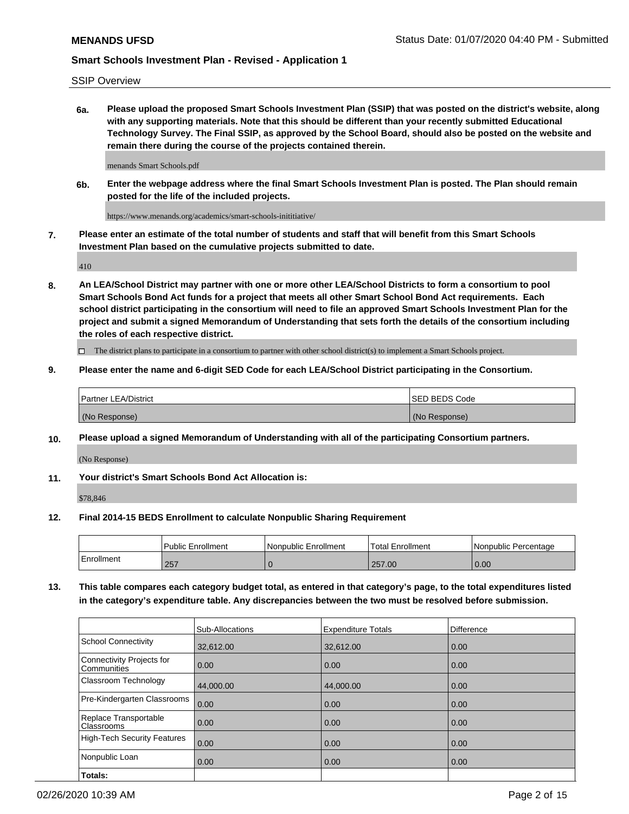SSIP Overview

**6a. Please upload the proposed Smart Schools Investment Plan (SSIP) that was posted on the district's website, along with any supporting materials. Note that this should be different than your recently submitted Educational Technology Survey. The Final SSIP, as approved by the School Board, should also be posted on the website and remain there during the course of the projects contained therein.**

menands Smart Schools.pdf

**6b. Enter the webpage address where the final Smart Schools Investment Plan is posted. The Plan should remain posted for the life of the included projects.**

https://www.menands.org/academics/smart-schools-inititiative/

**7. Please enter an estimate of the total number of students and staff that will benefit from this Smart Schools Investment Plan based on the cumulative projects submitted to date.**

410

**8. An LEA/School District may partner with one or more other LEA/School Districts to form a consortium to pool Smart Schools Bond Act funds for a project that meets all other Smart School Bond Act requirements. Each school district participating in the consortium will need to file an approved Smart Schools Investment Plan for the project and submit a signed Memorandum of Understanding that sets forth the details of the consortium including the roles of each respective district.**

 $\Box$  The district plans to participate in a consortium to partner with other school district(s) to implement a Smart Schools project.

### **9. Please enter the name and 6-digit SED Code for each LEA/School District participating in the Consortium.**

| <b>Partner LEA/District</b> | ISED BEDS Code |
|-----------------------------|----------------|
| (No Response)               | (No Response)  |

### **10. Please upload a signed Memorandum of Understanding with all of the participating Consortium partners.**

(No Response)

**11. Your district's Smart Schools Bond Act Allocation is:**

\$78,846

#### **12. Final 2014-15 BEDS Enrollment to calculate Nonpublic Sharing Requirement**

|            | <b>Public Enrollment</b> | Nonpublic Enrollment | Total Enrollment | l Nonpublic Percentage |
|------------|--------------------------|----------------------|------------------|------------------------|
| Enrollment | 257                      |                      | 257.00           | 0.00                   |

**13. This table compares each category budget total, as entered in that category's page, to the total expenditures listed in the category's expenditure table. Any discrepancies between the two must be resolved before submission.**

|                                          | Sub-Allocations | <b>Expenditure Totals</b> | <b>Difference</b> |
|------------------------------------------|-----------------|---------------------------|-------------------|
| <b>School Connectivity</b>               | 32,612.00       | 32,612.00                 | 0.00              |
| Connectivity Projects for<br>Communities | 0.00            | 0.00                      | 0.00              |
| Classroom Technology                     | 44,000.00       | 44.000.00                 | 0.00              |
| Pre-Kindergarten Classrooms              | 0.00            | 0.00                      | 0.00              |
| Replace Transportable<br>Classrooms      | 0.00            | 0.00                      | 0.00              |
| High-Tech Security Features              | 0.00            | 0.00                      | 0.00              |
| Nonpublic Loan                           | 0.00            | 0.00                      | 0.00              |
| Totals:                                  |                 |                           |                   |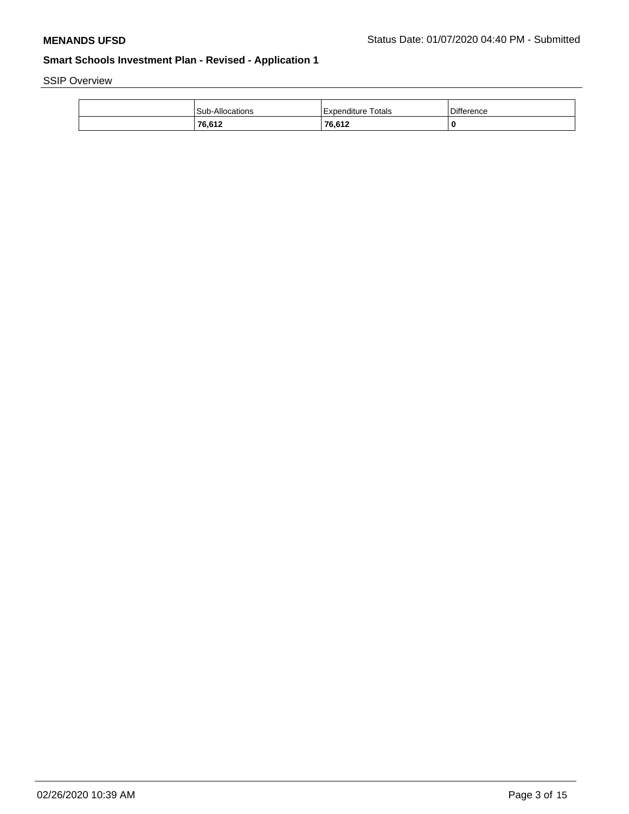SSIP Overview

| Sub-Allocations | l Expenditure Totals | <b>Difference</b> |
|-----------------|----------------------|-------------------|
| 76,612          | 76,612               |                   |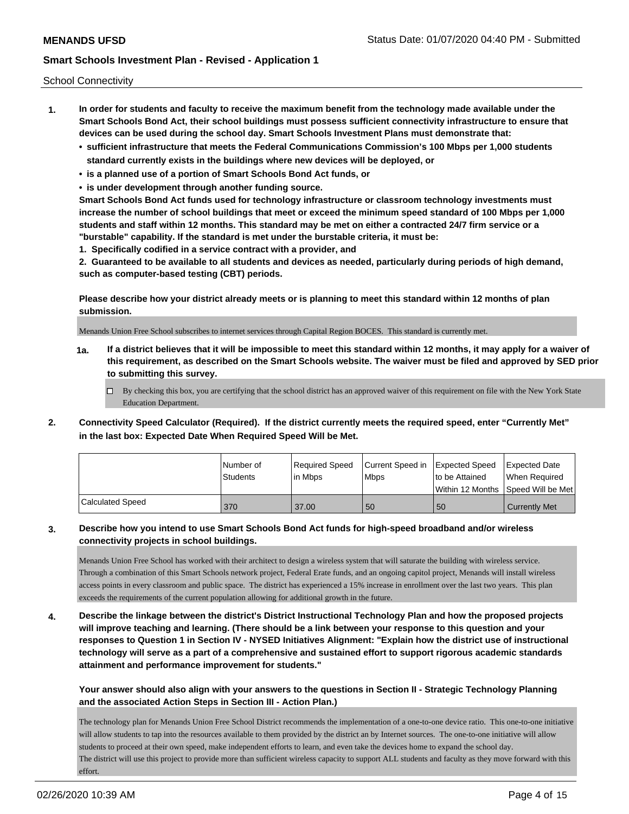School Connectivity

- **1. In order for students and faculty to receive the maximum benefit from the technology made available under the Smart Schools Bond Act, their school buildings must possess sufficient connectivity infrastructure to ensure that devices can be used during the school day. Smart Schools Investment Plans must demonstrate that:**
	- **• sufficient infrastructure that meets the Federal Communications Commission's 100 Mbps per 1,000 students standard currently exists in the buildings where new devices will be deployed, or**
	- **• is a planned use of a portion of Smart Schools Bond Act funds, or**
	- **• is under development through another funding source.**

**Smart Schools Bond Act funds used for technology infrastructure or classroom technology investments must increase the number of school buildings that meet or exceed the minimum speed standard of 100 Mbps per 1,000 students and staff within 12 months. This standard may be met on either a contracted 24/7 firm service or a "burstable" capability. If the standard is met under the burstable criteria, it must be:**

**1. Specifically codified in a service contract with a provider, and**

**2. Guaranteed to be available to all students and devices as needed, particularly during periods of high demand, such as computer-based testing (CBT) periods.**

**Please describe how your district already meets or is planning to meet this standard within 12 months of plan submission.**

Menands Union Free School subscribes to internet services through Capital Region BOCES. This standard is currently met.

**1a. If a district believes that it will be impossible to meet this standard within 12 months, it may apply for a waiver of this requirement, as described on the Smart Schools website. The waiver must be filed and approved by SED prior to submitting this survey.**

 $\Box$  By checking this box, you are certifying that the school district has an approved waiver of this requirement on file with the New York State Education Department.

**2. Connectivity Speed Calculator (Required). If the district currently meets the required speed, enter "Currently Met" in the last box: Expected Date When Required Speed Will be Met.**

|                  | l Number of<br><b>Students</b> | Required Speed<br>l in Mbps | Current Speed in Expected Speed<br>l Mbps | to be Attained | <b>Expected Date</b><br>When Required |
|------------------|--------------------------------|-----------------------------|-------------------------------------------|----------------|---------------------------------------|
|                  |                                |                             |                                           |                | Within 12 Months Speed Will be Met    |
| Calculated Speed | 370                            | 37.00                       | 50                                        | 50             | <b>Currently Met</b>                  |

## **3. Describe how you intend to use Smart Schools Bond Act funds for high-speed broadband and/or wireless connectivity projects in school buildings.**

Menands Union Free School has worked with their architect to design a wireless system that will saturate the building with wireless service. Through a combination of this Smart Schools network project, Federal Erate funds, and an ongoing capitol project, Menands will install wireless access points in every classroom and public space. The district has experienced a 15% increase in enrollment over the last two years. This plan exceeds the requirements of the current population allowing for additional growth in the future.

**4. Describe the linkage between the district's District Instructional Technology Plan and how the proposed projects will improve teaching and learning. (There should be a link between your response to this question and your responses to Question 1 in Section IV - NYSED Initiatives Alignment: "Explain how the district use of instructional technology will serve as a part of a comprehensive and sustained effort to support rigorous academic standards attainment and performance improvement for students."** 

**Your answer should also align with your answers to the questions in Section II - Strategic Technology Planning and the associated Action Steps in Section III - Action Plan.)**

The technology plan for Menands Union Free School District recommends the implementation of a one-to-one device ratio. This one-to-one initiative will allow students to tap into the resources available to them provided by the district an by Internet sources. The one-to-one initiative will allow students to proceed at their own speed, make independent efforts to learn, and even take the devices home to expand the school day. The district will use this project to provide more than sufficient wireless capacity to support ALL students and faculty as they move forward with this effort.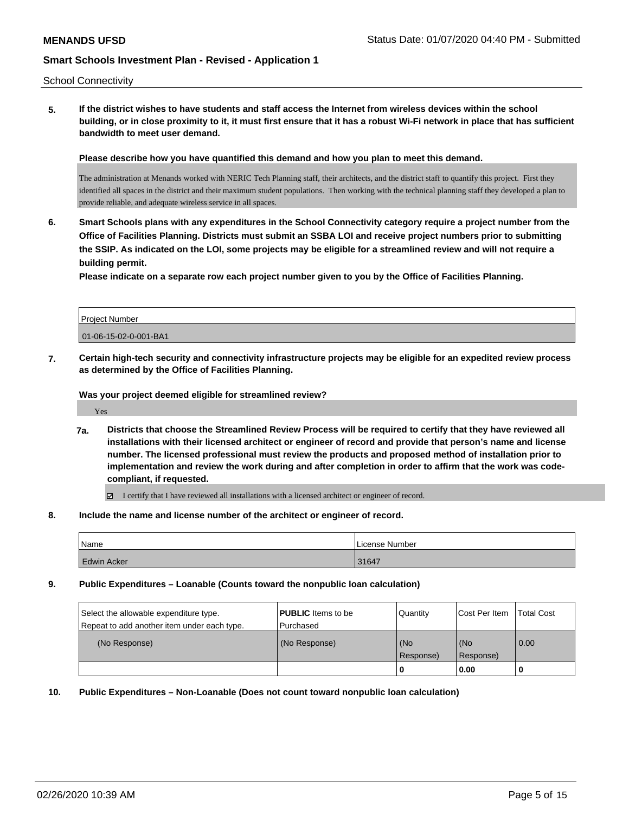School Connectivity

**5. If the district wishes to have students and staff access the Internet from wireless devices within the school building, or in close proximity to it, it must first ensure that it has a robust Wi-Fi network in place that has sufficient bandwidth to meet user demand.**

**Please describe how you have quantified this demand and how you plan to meet this demand.**

The administration at Menands worked with NERIC Tech Planning staff, their architects, and the district staff to quantify this project. First they identified all spaces in the district and their maximum student populations. Then working with the technical planning staff they developed a plan to provide reliable, and adequate wireless service in all spaces.

**6. Smart Schools plans with any expenditures in the School Connectivity category require a project number from the Office of Facilities Planning. Districts must submit an SSBA LOI and receive project numbers prior to submitting the SSIP. As indicated on the LOI, some projects may be eligible for a streamlined review and will not require a building permit.**

**Please indicate on a separate row each project number given to you by the Office of Facilities Planning.**

| Project Number        |  |
|-----------------------|--|
| 01-06-15-02-0-001-BA1 |  |

**7. Certain high-tech security and connectivity infrastructure projects may be eligible for an expedited review process as determined by the Office of Facilities Planning.**

**Was your project deemed eligible for streamlined review?**

Yes

**7a. Districts that choose the Streamlined Review Process will be required to certify that they have reviewed all installations with their licensed architect or engineer of record and provide that person's name and license number. The licensed professional must review the products and proposed method of installation prior to implementation and review the work during and after completion in order to affirm that the work was codecompliant, if requested.**

I certify that I have reviewed all installations with a licensed architect or engineer of record.

**8. Include the name and license number of the architect or engineer of record.**

| <b>Name</b>        | I License Number |
|--------------------|------------------|
| <b>Edwin Acker</b> | 31647            |

**9. Public Expenditures – Loanable (Counts toward the nonpublic loan calculation)**

| Select the allowable expenditure type.<br>Repeat to add another item under each type. | <b>PUBLIC</b> Items to be<br>l Purchased | Quantity         | Cost Per Item    | <b>Total Cost</b> |
|---------------------------------------------------------------------------------------|------------------------------------------|------------------|------------------|-------------------|
| (No Response)                                                                         | (No Response)                            | (No<br>Response) | (No<br>Response) | 0.00              |
|                                                                                       |                                          |                  | 0.00             |                   |

**10. Public Expenditures – Non-Loanable (Does not count toward nonpublic loan calculation)**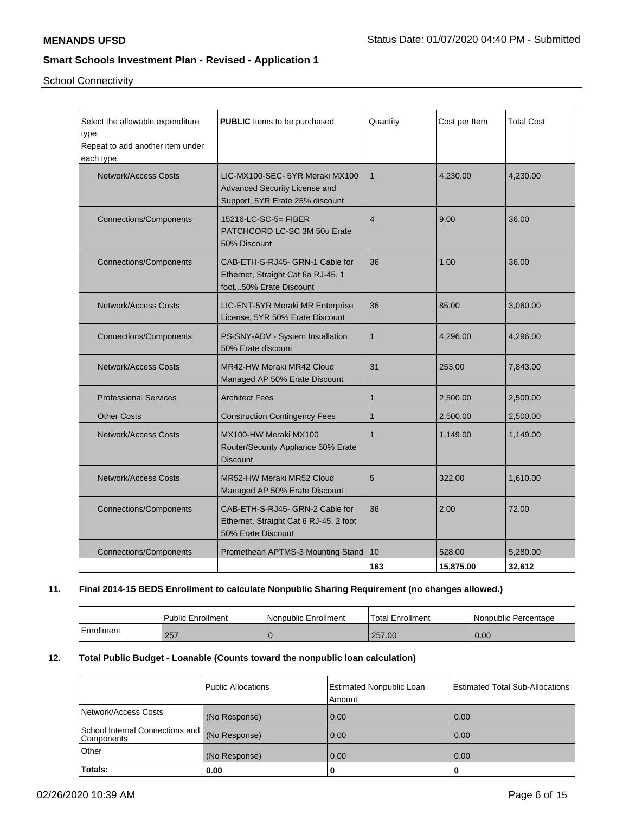School Connectivity

| Select the allowable expenditure<br>type.<br>Repeat to add another item under<br>each type. | <b>PUBLIC</b> Items to be purchased                                                                | Quantity       | Cost per Item | <b>Total Cost</b> |
|---------------------------------------------------------------------------------------------|----------------------------------------------------------------------------------------------------|----------------|---------------|-------------------|
| <b>Network/Access Costs</b>                                                                 | LIC-MX100-SEC-5YR Meraki MX100<br>Advanced Security License and<br>Support, 5YR Erate 25% discount | $\mathbf{1}$   | 4,230.00      | 4,230.00          |
| <b>Connections/Components</b>                                                               | 15216-LC-SC-5= FIBER<br>PATCHCORD LC-SC 3M 50u Erate<br>50% Discount                               | $\overline{4}$ | 9.00          | 36.00             |
| <b>Connections/Components</b>                                                               | CAB-ETH-S-RJ45- GRN-1 Cable for<br>Ethernet, Straight Cat 6a RJ-45, 1<br>foot50% Erate Discount    | 36             | 1.00          | 36.00             |
| <b>Network/Access Costs</b>                                                                 | LIC-ENT-5YR Meraki MR Enterprise<br>License, 5YR 50% Erate Discount                                | 36             | 85.00         | 3,060.00          |
| <b>Connections/Components</b>                                                               | PS-SNY-ADV - System Installation<br>50% Erate discount                                             | $\mathbf{1}$   | 4,296.00      | 4,296.00          |
| <b>Network/Access Costs</b>                                                                 | MR42-HW Meraki MR42 Cloud<br>Managed AP 50% Erate Discount                                         | 31             | 253.00        | 7,843.00          |
| <b>Professional Services</b>                                                                | <b>Architect Fees</b>                                                                              | $\mathbf{1}$   | 2,500.00      | 2,500.00          |
| <b>Other Costs</b>                                                                          | <b>Construction Contingency Fees</b>                                                               | $\mathbf{1}$   | 2,500.00      | 2,500.00          |
| <b>Network/Access Costs</b>                                                                 | MX100-HW Meraki MX100<br>Router/Security Appliance 50% Erate<br><b>Discount</b>                    | $\mathbf{1}$   | 1,149.00      | 1,149.00          |
| <b>Network/Access Costs</b>                                                                 | MR52-HW Meraki MR52 Cloud<br>Managed AP 50% Erate Discount                                         | 5              | 322.00        | 1,610.00          |
| <b>Connections/Components</b>                                                               | CAB-ETH-S-RJ45- GRN-2 Cable for<br>Ethernet, Straight Cat 6 RJ-45, 2 foot<br>50% Erate Discount    | 36             | 2.00          | 72.00             |
| <b>Connections/Components</b>                                                               | Promethean APTMS-3 Mounting Stand                                                                  | 10             | 528.00        | 5,280.00          |
|                                                                                             |                                                                                                    | 163            | 15.875.00     | 32,612            |

## **11. Final 2014-15 BEDS Enrollment to calculate Nonpublic Sharing Requirement (no changes allowed.)**

|            | <b>Public Enrollment</b> | Nonpublic Enrollment | <b>Total Enrollment</b> | l Nonpublic Percentage |
|------------|--------------------------|----------------------|-------------------------|------------------------|
| Enrollment | 257                      |                      | 257.00                  | 0.00                   |

## **12. Total Public Budget - Loanable (Counts toward the nonpublic loan calculation)**

|                                                  | Public Allocations | <b>Estimated Nonpublic Loan</b><br>Amount | Estimated Total Sub-Allocations |
|--------------------------------------------------|--------------------|-------------------------------------------|---------------------------------|
| Network/Access Costs                             | (No Response)      | 0.00                                      | 0.00                            |
| School Internal Connections and   <br>Components | (No Response)      | 0.00                                      | 0.00                            |
| Other                                            | (No Response)      | 0.00                                      | 0.00                            |
| Totals:                                          | 0.00               | 0                                         | 0                               |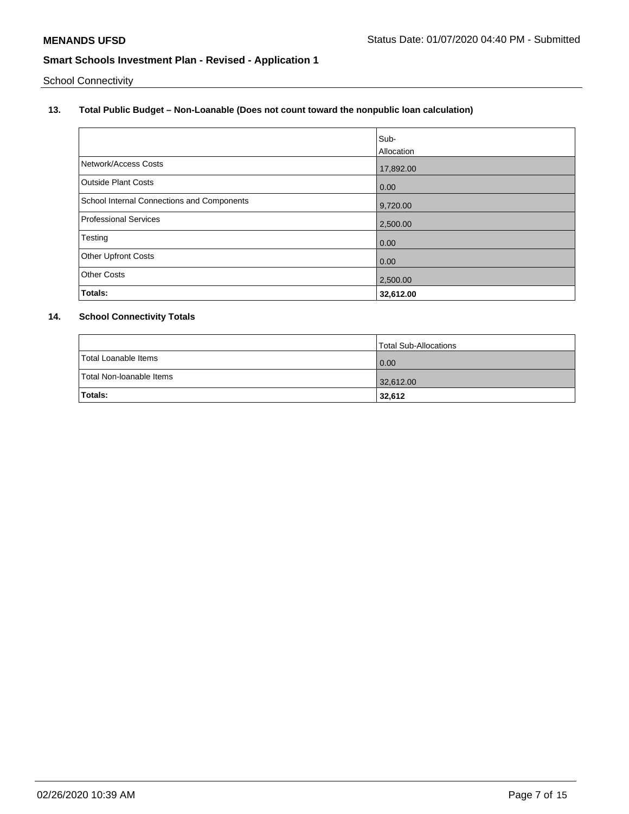School Connectivity

## **13. Total Public Budget – Non-Loanable (Does not count toward the nonpublic loan calculation)**

|                                            | Sub-       |
|--------------------------------------------|------------|
|                                            | Allocation |
| Network/Access Costs                       | 17,892.00  |
| Outside Plant Costs                        | 0.00       |
| School Internal Connections and Components | 9,720.00   |
| <b>Professional Services</b>               | 2,500.00   |
| Testing                                    | 0.00       |
| Other Upfront Costs                        | 0.00       |
| <b>Other Costs</b>                         | 2,500.00   |
| Totals:                                    | 32,612.00  |

## **14. School Connectivity Totals**

|                          | Total Sub-Allocations |
|--------------------------|-----------------------|
| Total Loanable Items     | 0.00                  |
| Total Non-loanable Items | 32,612.00             |
| Totals:                  | 32,612                |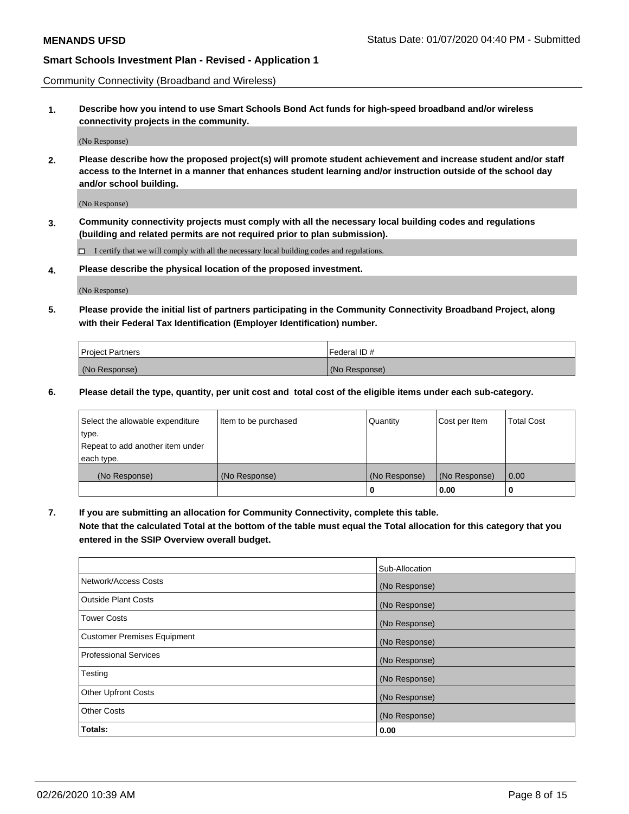Community Connectivity (Broadband and Wireless)

**1. Describe how you intend to use Smart Schools Bond Act funds for high-speed broadband and/or wireless connectivity projects in the community.**

(No Response)

**2. Please describe how the proposed project(s) will promote student achievement and increase student and/or staff access to the Internet in a manner that enhances student learning and/or instruction outside of the school day and/or school building.**

(No Response)

**3. Community connectivity projects must comply with all the necessary local building codes and regulations (building and related permits are not required prior to plan submission).**

 $\Box$  I certify that we will comply with all the necessary local building codes and regulations.

**4. Please describe the physical location of the proposed investment.**

(No Response)

**5. Please provide the initial list of partners participating in the Community Connectivity Broadband Project, along with their Federal Tax Identification (Employer Identification) number.**

| <b>Project Partners</b> | l Federal ID # |
|-------------------------|----------------|
| (No Response)           | (No Response)  |

**6. Please detail the type, quantity, per unit cost and total cost of the eligible items under each sub-category.**

| Select the allowable expenditure | Item to be purchased | Quantity      | Cost per Item | <b>Total Cost</b> |
|----------------------------------|----------------------|---------------|---------------|-------------------|
| type.                            |                      |               |               |                   |
| Repeat to add another item under |                      |               |               |                   |
| each type.                       |                      |               |               |                   |
| (No Response)                    | (No Response)        | (No Response) | (No Response) | 0.00              |
|                                  |                      | o             | 0.00          |                   |

**7. If you are submitting an allocation for Community Connectivity, complete this table.**

**Note that the calculated Total at the bottom of the table must equal the Total allocation for this category that you entered in the SSIP Overview overall budget.**

|                                    | Sub-Allocation |
|------------------------------------|----------------|
| Network/Access Costs               | (No Response)  |
| Outside Plant Costs                | (No Response)  |
| <b>Tower Costs</b>                 | (No Response)  |
| <b>Customer Premises Equipment</b> | (No Response)  |
| <b>Professional Services</b>       | (No Response)  |
| Testing                            | (No Response)  |
| <b>Other Upfront Costs</b>         | (No Response)  |
| <b>Other Costs</b>                 | (No Response)  |
| Totals:                            | 0.00           |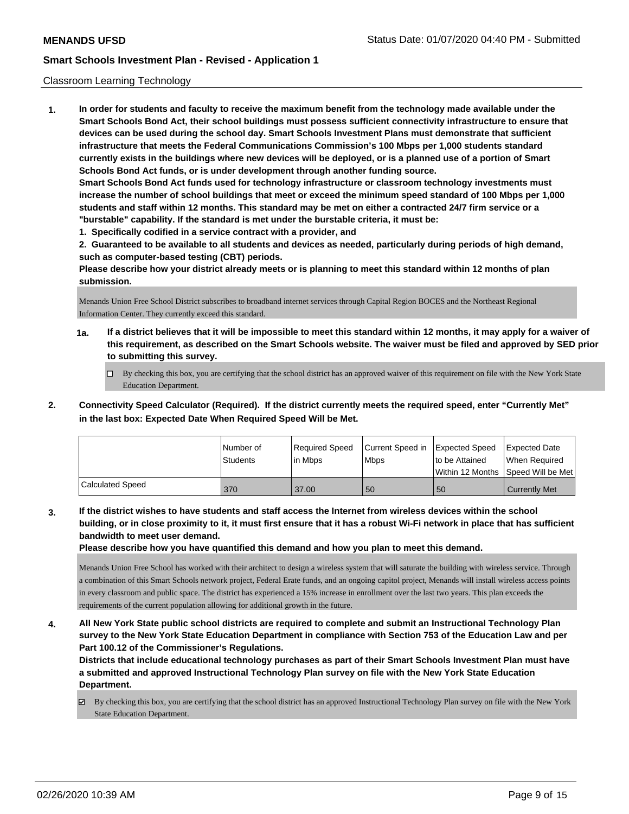#### Classroom Learning Technology

**1. In order for students and faculty to receive the maximum benefit from the technology made available under the Smart Schools Bond Act, their school buildings must possess sufficient connectivity infrastructure to ensure that devices can be used during the school day. Smart Schools Investment Plans must demonstrate that sufficient infrastructure that meets the Federal Communications Commission's 100 Mbps per 1,000 students standard currently exists in the buildings where new devices will be deployed, or is a planned use of a portion of Smart Schools Bond Act funds, or is under development through another funding source. Smart Schools Bond Act funds used for technology infrastructure or classroom technology investments must increase the number of school buildings that meet or exceed the minimum speed standard of 100 Mbps per 1,000 students and staff within 12 months. This standard may be met on either a contracted 24/7 firm service or a "burstable" capability. If the standard is met under the burstable criteria, it must be: 1. Specifically codified in a service contract with a provider, and**

**2. Guaranteed to be available to all students and devices as needed, particularly during periods of high demand, such as computer-based testing (CBT) periods.**

**Please describe how your district already meets or is planning to meet this standard within 12 months of plan submission.**

Menands Union Free School District subscribes to broadband internet services through Capital Region BOCES and the Northeast Regional Information Center. They currently exceed this standard.

- **1a. If a district believes that it will be impossible to meet this standard within 12 months, it may apply for a waiver of this requirement, as described on the Smart Schools website. The waiver must be filed and approved by SED prior to submitting this survey.**
	- By checking this box, you are certifying that the school district has an approved waiver of this requirement on file with the New York State Education Department.
- **2. Connectivity Speed Calculator (Required). If the district currently meets the required speed, enter "Currently Met" in the last box: Expected Date When Required Speed Will be Met.**

|                         | l Number of<br>Students | Required Speed<br>l in Mbps | Current Speed in Expected Speed<br>l Mbps | to be Attained | <b>Expected Date</b><br>When Required<br>Within 12 Months ISpeed Will be Met l |
|-------------------------|-------------------------|-----------------------------|-------------------------------------------|----------------|--------------------------------------------------------------------------------|
| <b>Calculated Speed</b> | 370                     | 37.00                       | 50                                        | 50             | Currently Met                                                                  |

**3. If the district wishes to have students and staff access the Internet from wireless devices within the school building, or in close proximity to it, it must first ensure that it has a robust Wi-Fi network in place that has sufficient bandwidth to meet user demand.**

**Please describe how you have quantified this demand and how you plan to meet this demand.**

Menands Union Free School has worked with their architect to design a wireless system that will saturate the building with wireless service. Through a combination of this Smart Schools network project, Federal Erate funds, and an ongoing capitol project, Menands will install wireless access points in every classroom and public space. The district has experienced a 15% increase in enrollment over the last two years. This plan exceeds the requirements of the current population allowing for additional growth in the future.

**4. All New York State public school districts are required to complete and submit an Instructional Technology Plan survey to the New York State Education Department in compliance with Section 753 of the Education Law and per Part 100.12 of the Commissioner's Regulations.**

**Districts that include educational technology purchases as part of their Smart Schools Investment Plan must have a submitted and approved Instructional Technology Plan survey on file with the New York State Education Department.**

By checking this box, you are certifying that the school district has an approved Instructional Technology Plan survey on file with the New York State Education Department.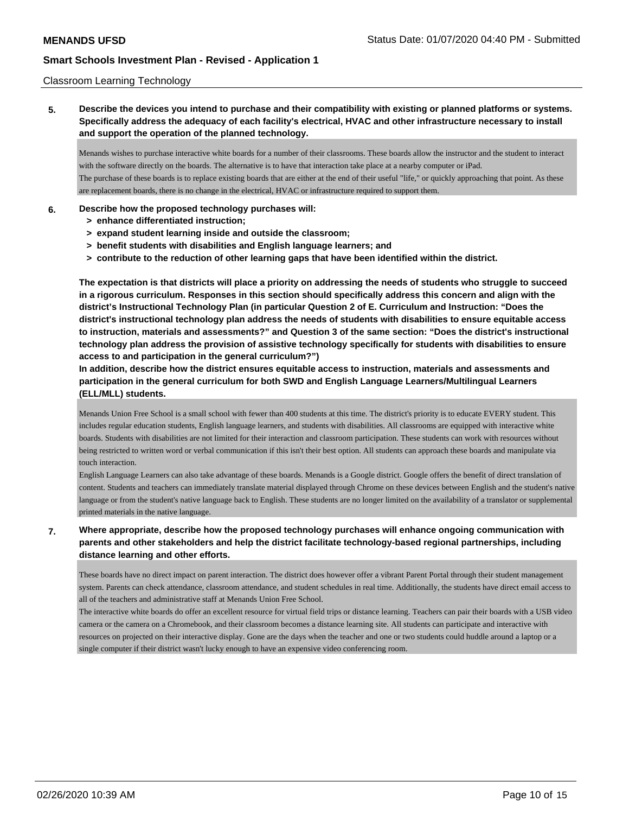### Classroom Learning Technology

**5. Describe the devices you intend to purchase and their compatibility with existing or planned platforms or systems. Specifically address the adequacy of each facility's electrical, HVAC and other infrastructure necessary to install and support the operation of the planned technology.**

Menands wishes to purchase interactive white boards for a number of their classrooms. These boards allow the instructor and the student to interact with the software directly on the boards. The alternative is to have that interaction take place at a nearby computer or iPad. The purchase of these boards is to replace existing boards that are either at the end of their useful "life," or quickly approaching that point. As these are replacement boards, there is no change in the electrical, HVAC or infrastructure required to support them.

### **6. Describe how the proposed technology purchases will:**

- **> enhance differentiated instruction;**
- **> expand student learning inside and outside the classroom;**
- **> benefit students with disabilities and English language learners; and**
- **> contribute to the reduction of other learning gaps that have been identified within the district.**

**The expectation is that districts will place a priority on addressing the needs of students who struggle to succeed in a rigorous curriculum. Responses in this section should specifically address this concern and align with the district's Instructional Technology Plan (in particular Question 2 of E. Curriculum and Instruction: "Does the district's instructional technology plan address the needs of students with disabilities to ensure equitable access to instruction, materials and assessments?" and Question 3 of the same section: "Does the district's instructional technology plan address the provision of assistive technology specifically for students with disabilities to ensure access to and participation in the general curriculum?")**

**In addition, describe how the district ensures equitable access to instruction, materials and assessments and participation in the general curriculum for both SWD and English Language Learners/Multilingual Learners (ELL/MLL) students.**

Menands Union Free School is a small school with fewer than 400 students at this time. The district's priority is to educate EVERY student. This includes regular education students, English language learners, and students with disabilities. All classrooms are equipped with interactive white boards. Students with disabilities are not limited for their interaction and classroom participation. These students can work with resources without being restricted to written word or verbal communication if this isn't their best option. All students can approach these boards and manipulate via touch interaction.

English Language Learners can also take advantage of these boards. Menands is a Google district. Google offers the benefit of direct translation of content. Students and teachers can immediately translate material displayed through Chrome on these devices between English and the student's native language or from the student's native language back to English. These students are no longer limited on the availability of a translator or supplemental printed materials in the native language.

## **7. Where appropriate, describe how the proposed technology purchases will enhance ongoing communication with parents and other stakeholders and help the district facilitate technology-based regional partnerships, including distance learning and other efforts.**

These boards have no direct impact on parent interaction. The district does however offer a vibrant Parent Portal through their student management system. Parents can check attendance, classroom attendance, and student schedules in real time. Additionally, the students have direct email access to all of the teachers and administrative staff at Menands Union Free School.

The interactive white boards do offer an excellent resource for virtual field trips or distance learning. Teachers can pair their boards with a USB video camera or the camera on a Chromebook, and their classroom becomes a distance learning site. All students can participate and interactive with resources on projected on their interactive display. Gone are the days when the teacher and one or two students could huddle around a laptop or a single computer if their district wasn't lucky enough to have an expensive video conferencing room.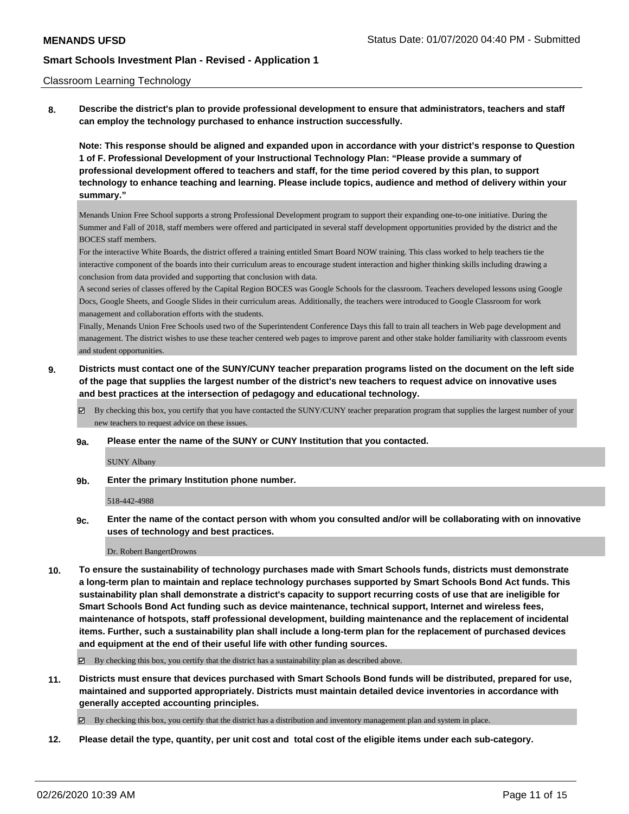#### Classroom Learning Technology

**8. Describe the district's plan to provide professional development to ensure that administrators, teachers and staff can employ the technology purchased to enhance instruction successfully.**

**Note: This response should be aligned and expanded upon in accordance with your district's response to Question 1 of F. Professional Development of your Instructional Technology Plan: "Please provide a summary of professional development offered to teachers and staff, for the time period covered by this plan, to support technology to enhance teaching and learning. Please include topics, audience and method of delivery within your summary."**

Menands Union Free School supports a strong Professional Development program to support their expanding one-to-one initiative. During the Summer and Fall of 2018, staff members were offered and participated in several staff development opportunities provided by the district and the BOCES staff members.

For the interactive White Boards, the district offered a training entitled Smart Board NOW training. This class worked to help teachers tie the interactive component of the boards into their curriculum areas to encourage student interaction and higher thinking skills including drawing a conclusion from data provided and supporting that conclusion with data.

A second series of classes offered by the Capital Region BOCES was Google Schools for the classroom. Teachers developed lessons using Google Docs, Google Sheets, and Google Slides in their curriculum areas. Additionally, the teachers were introduced to Google Classroom for work management and collaboration efforts with the students.

Finally, Menands Union Free Schools used two of the Superintendent Conference Days this fall to train all teachers in Web page development and management. The district wishes to use these teacher centered web pages to improve parent and other stake holder familiarity with classroom events and student opportunities.

- **9. Districts must contact one of the SUNY/CUNY teacher preparation programs listed on the document on the left side of the page that supplies the largest number of the district's new teachers to request advice on innovative uses and best practices at the intersection of pedagogy and educational technology.**
	- By checking this box, you certify that you have contacted the SUNY/CUNY teacher preparation program that supplies the largest number of your new teachers to request advice on these issues.
	- **9a. Please enter the name of the SUNY or CUNY Institution that you contacted.**

SUNY Albany

**9b. Enter the primary Institution phone number.**

518-442-4988

**9c. Enter the name of the contact person with whom you consulted and/or will be collaborating with on innovative uses of technology and best practices.**

Dr. Robert Bangert Drowns

**10. To ensure the sustainability of technology purchases made with Smart Schools funds, districts must demonstrate a long-term plan to maintain and replace technology purchases supported by Smart Schools Bond Act funds. This sustainability plan shall demonstrate a district's capacity to support recurring costs of use that are ineligible for Smart Schools Bond Act funding such as device maintenance, technical support, Internet and wireless fees, maintenance of hotspots, staff professional development, building maintenance and the replacement of incidental items. Further, such a sustainability plan shall include a long-term plan for the replacement of purchased devices and equipment at the end of their useful life with other funding sources.**

 $\boxtimes$  By checking this box, you certify that the district has a sustainability plan as described above.

**11. Districts must ensure that devices purchased with Smart Schools Bond funds will be distributed, prepared for use, maintained and supported appropriately. Districts must maintain detailed device inventories in accordance with generally accepted accounting principles.**

By checking this box, you certify that the district has a distribution and inventory management plan and system in place.

**12. Please detail the type, quantity, per unit cost and total cost of the eligible items under each sub-category.**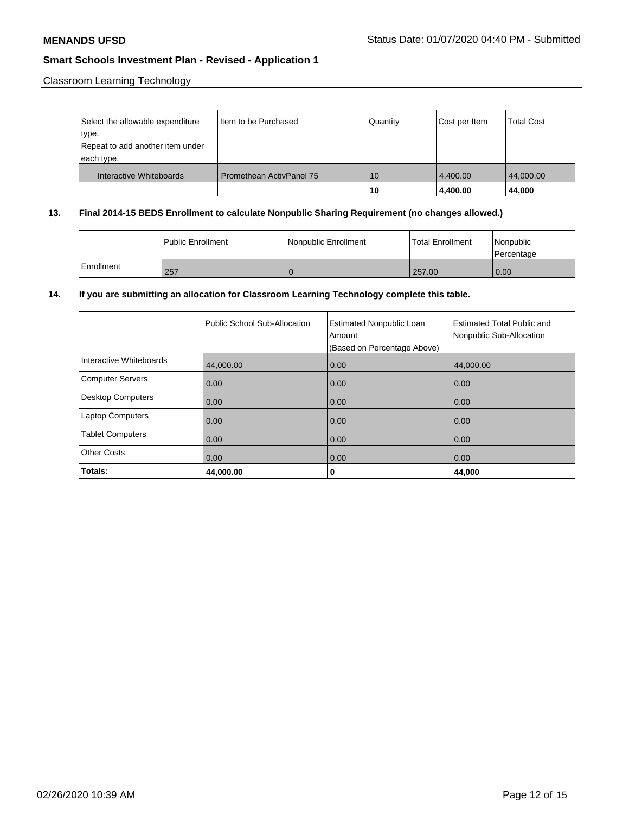Classroom Learning Technology

| Select the allowable expenditure<br>type.<br>Repeat to add another item under<br>each type. | Iltem to be Purchased           | Quantity | Cost per Item        | <b>Total Cost</b>   |
|---------------------------------------------------------------------------------------------|---------------------------------|----------|----------------------|---------------------|
| Interactive Whiteboards                                                                     | <b>Promethean ActivPanel 75</b> | 10<br>10 | 4,400.00<br>4,400.00 | 44,000.00<br>44.000 |

## **13. Final 2014-15 BEDS Enrollment to calculate Nonpublic Sharing Requirement (no changes allowed.)**

|            | l Public Enrollment | Nonpublic Enrollment | <b>Total Enrollment</b> | Nonpublic<br>Percentage |
|------------|---------------------|----------------------|-------------------------|-------------------------|
| Enrollment | 257                 |                      | 257.00                  | $\overline{0.00}$       |

## **14. If you are submitting an allocation for Classroom Learning Technology complete this table.**

|                          | Public School Sub-Allocation | <b>Estimated Nonpublic Loan</b><br>Amount<br>(Based on Percentage Above) | <b>Estimated Total Public and</b><br>Nonpublic Sub-Allocation |
|--------------------------|------------------------------|--------------------------------------------------------------------------|---------------------------------------------------------------|
| Interactive Whiteboards  | 44,000.00                    | 0.00                                                                     | 44.000.00                                                     |
| Computer Servers         | 0.00                         | 0.00                                                                     | 0.00                                                          |
| <b>Desktop Computers</b> | 0.00                         | 0.00                                                                     | 0.00                                                          |
| Laptop Computers         | 0.00                         | 0.00                                                                     | 0.00                                                          |
| <b>Tablet Computers</b>  | 0.00                         | 0.00                                                                     | 0.00                                                          |
| <b>Other Costs</b>       | 0.00                         | 0.00                                                                     | 0.00                                                          |
| Totals:                  | 44,000.00                    | 0                                                                        | 44,000                                                        |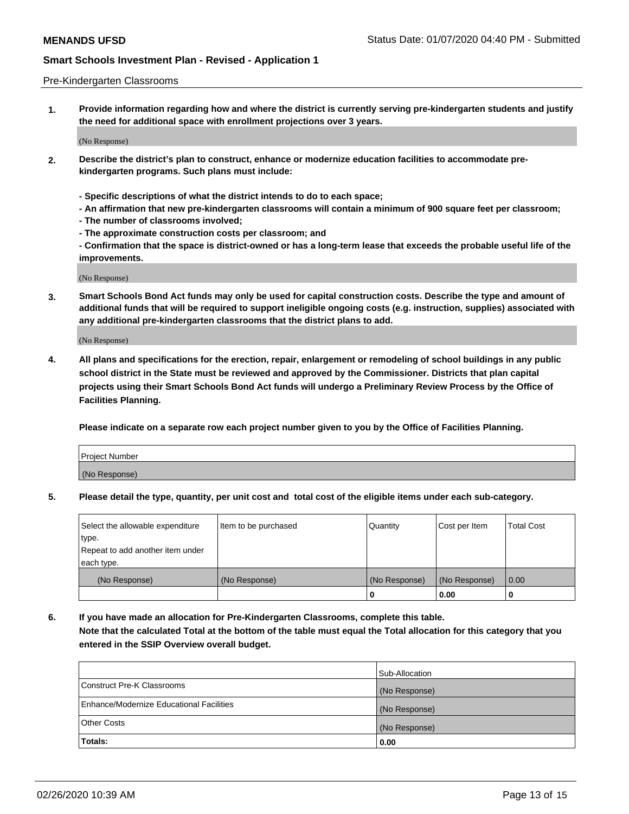#### Pre-Kindergarten Classrooms

**1. Provide information regarding how and where the district is currently serving pre-kindergarten students and justify the need for additional space with enrollment projections over 3 years.**

(No Response)

- **2. Describe the district's plan to construct, enhance or modernize education facilities to accommodate prekindergarten programs. Such plans must include:**
	- **Specific descriptions of what the district intends to do to each space;**
	- **An affirmation that new pre-kindergarten classrooms will contain a minimum of 900 square feet per classroom;**
	- **The number of classrooms involved;**
	- **The approximate construction costs per classroom; and**
	- **Confirmation that the space is district-owned or has a long-term lease that exceeds the probable useful life of the improvements.**

(No Response)

**3. Smart Schools Bond Act funds may only be used for capital construction costs. Describe the type and amount of additional funds that will be required to support ineligible ongoing costs (e.g. instruction, supplies) associated with any additional pre-kindergarten classrooms that the district plans to add.**

(No Response)

**4. All plans and specifications for the erection, repair, enlargement or remodeling of school buildings in any public school district in the State must be reviewed and approved by the Commissioner. Districts that plan capital projects using their Smart Schools Bond Act funds will undergo a Preliminary Review Process by the Office of Facilities Planning.**

**Please indicate on a separate row each project number given to you by the Office of Facilities Planning.**

| Project Number |  |
|----------------|--|
| (No Response)  |  |
|                |  |

**5. Please detail the type, quantity, per unit cost and total cost of the eligible items under each sub-category.**

| Select the allowable expenditure | Item to be purchased | Quantity      | Cost per Item | <b>Total Cost</b> |
|----------------------------------|----------------------|---------------|---------------|-------------------|
| 'type.                           |                      |               |               |                   |
| Repeat to add another item under |                      |               |               |                   |
| each type.                       |                      |               |               |                   |
| (No Response)                    | (No Response)        | (No Response) | (No Response) | 0.00              |
|                                  |                      | U             | 0.00          |                   |

**6. If you have made an allocation for Pre-Kindergarten Classrooms, complete this table. Note that the calculated Total at the bottom of the table must equal the Total allocation for this category that you entered in the SSIP Overview overall budget.**

|                                          | Sub-Allocation |
|------------------------------------------|----------------|
| Construct Pre-K Classrooms               | (No Response)  |
| Enhance/Modernize Educational Facilities | (No Response)  |
| <b>Other Costs</b>                       | (No Response)  |
| Totals:                                  | 0.00           |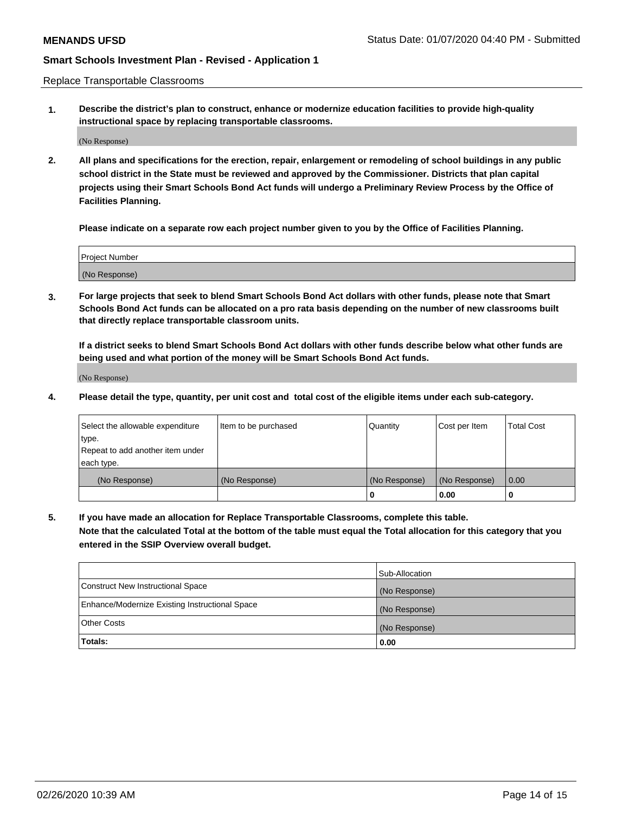Replace Transportable Classrooms

**1. Describe the district's plan to construct, enhance or modernize education facilities to provide high-quality instructional space by replacing transportable classrooms.**

(No Response)

**2. All plans and specifications for the erection, repair, enlargement or remodeling of school buildings in any public school district in the State must be reviewed and approved by the Commissioner. Districts that plan capital projects using their Smart Schools Bond Act funds will undergo a Preliminary Review Process by the Office of Facilities Planning.**

**Please indicate on a separate row each project number given to you by the Office of Facilities Planning.**

| Project Number |  |
|----------------|--|
|                |  |
|                |  |
|                |  |
| (No Response)  |  |
|                |  |
|                |  |

**3. For large projects that seek to blend Smart Schools Bond Act dollars with other funds, please note that Smart Schools Bond Act funds can be allocated on a pro rata basis depending on the number of new classrooms built that directly replace transportable classroom units.**

**If a district seeks to blend Smart Schools Bond Act dollars with other funds describe below what other funds are being used and what portion of the money will be Smart Schools Bond Act funds.**

(No Response)

**4. Please detail the type, quantity, per unit cost and total cost of the eligible items under each sub-category.**

| Select the allowable expenditure | Item to be purchased | Quantity      | Cost per Item | Total Cost |
|----------------------------------|----------------------|---------------|---------------|------------|
| ∣type.                           |                      |               |               |            |
| Repeat to add another item under |                      |               |               |            |
| each type.                       |                      |               |               |            |
| (No Response)                    | (No Response)        | (No Response) | (No Response) | 0.00       |
|                                  |                      | u             | 0.00          |            |

**5. If you have made an allocation for Replace Transportable Classrooms, complete this table. Note that the calculated Total at the bottom of the table must equal the Total allocation for this category that you entered in the SSIP Overview overall budget.**

|                                                | Sub-Allocation |
|------------------------------------------------|----------------|
| Construct New Instructional Space              | (No Response)  |
| Enhance/Modernize Existing Instructional Space | (No Response)  |
| Other Costs                                    | (No Response)  |
| Totals:                                        | 0.00           |